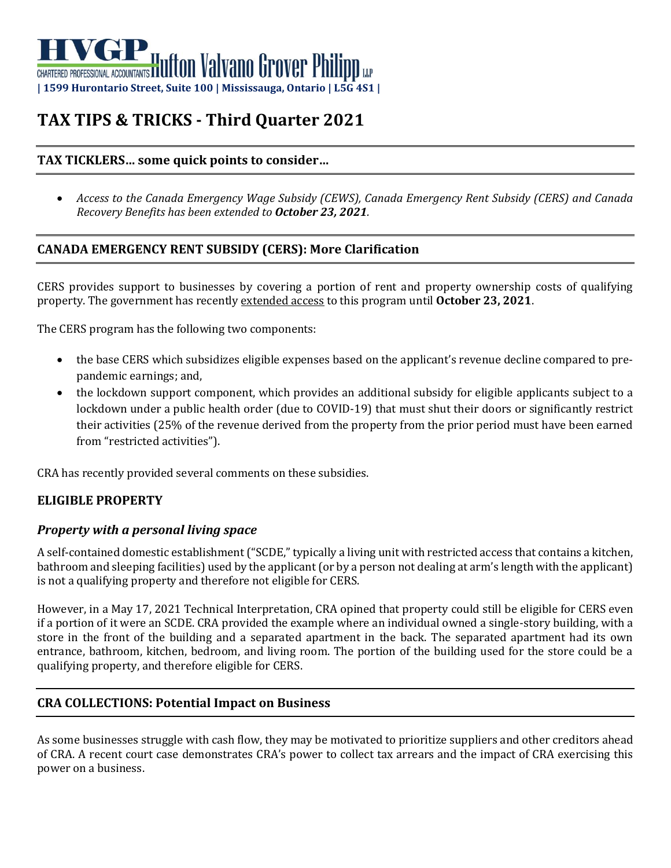# CHARTERED PROFESSIONAL ACCOUNTANTS **IT LITTON Valvano Grover Philipp** LLP **| 1599 Hurontario Street, Suite 100 | Mississauga, Ontario | L5G 4S1 |**

# **TAX TIPS & TRICKS - Third Quarter 2021**

# **TAX TICKLERS… some quick points to consider…**

• *Access to the Canada Emergency Wage Subsidy (CEWS), Canada Emergency Rent Subsidy (CERS) and Canada Recovery Benefits has been extended to October 23, 2021.* 

# **CANADA EMERGENCY RENT SUBSIDY (CERS): More Clarification**

CERS provides support to businesses by covering a portion of rent and property ownership costs of qualifying property. The government has recently extended access to this program until **October 23, 2021**.

The CERS program has the following two components:

- the base CERS which subsidizes eligible expenses based on the applicant's revenue decline compared to prepandemic earnings; and,
- the lockdown support component, which provides an additional subsidy for eligible applicants subject to a lockdown under a public health order (due to COVID-19) that must shut their doors or significantly restrict their activities (25% of the revenue derived from the property from the prior period must have been earned from "restricted activities").

CRA has recently provided several comments on these subsidies.

# **ELIGIBLE PROPERTY**

# *Property with a personal living space*

A self-contained domestic establishment ("SCDE," typically a living unit with restricted access that contains a kitchen, bathroom and sleeping facilities) used by the applicant (or by a person not dealing at arm's length with the applicant) is not a qualifying property and therefore not eligible for CERS.

However, in a May 17, 2021 Technical Interpretation, CRA opined that property could still be eligible for CERS even if a portion of it were an SCDE. CRA provided the example where an individual owned a single-story building, with a store in the front of the building and a separated apartment in the back. The separated apartment had its own entrance, bathroom, kitchen, bedroom, and living room. The portion of the building used for the store could be a qualifying property, and therefore eligible for CERS.

# **CRA COLLECTIONS: Potential Impact on Business**

As some businesses struggle with cash flow, they may be motivated to prioritize suppliers and other creditors ahead of CRA. A recent court case demonstrates CRA's power to collect tax arrears and the impact of CRA exercising this power on a business.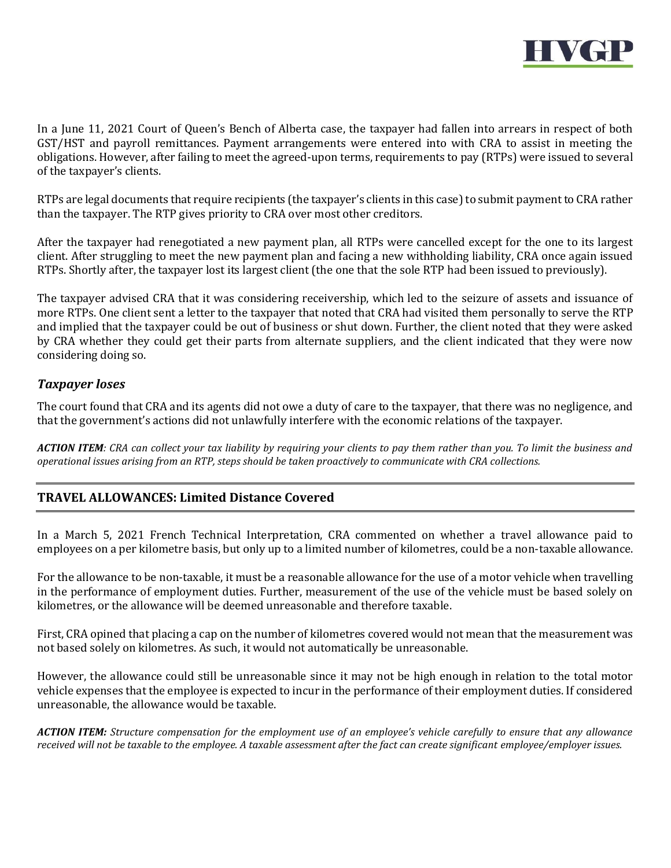

In a June 11, 2021 Court of Queen's Bench of Alberta case, the taxpayer had fallen into arrears in respect of both GST/HST and payroll remittances. Payment arrangements were entered into with CRA to assist in meeting the obligations. However, after failing to meet the agreed-upon terms, requirements to pay (RTPs) were issued to several of the taxpayer's clients.

RTPs are legal documents that require recipients (the taxpayer's clients in this case) to submit payment to CRA rather than the taxpayer. The RTP gives priority to CRA over most other creditors.

After the taxpayer had renegotiated a new payment plan, all RTPs were cancelled except for the one to its largest client. After struggling to meet the new payment plan and facing a new withholding liability, CRA once again issued RTPs. Shortly after, the taxpayer lost its largest client (the one that the sole RTP had been issued to previously).

The taxpayer advised CRA that it was considering receivership, which led to the seizure of assets and issuance of more RTPs. One client sent a letter to the taxpayer that noted that CRA had visited them personally to serve the RTP and implied that the taxpayer could be out of business or shut down. Further, the client noted that they were asked by CRA whether they could get their parts from alternate suppliers, and the client indicated that they were now considering doing so.

#### *Taxpayer loses*

The court found that CRA and its agents did not owe a duty of care to the taxpayer, that there was no negligence, and that the government's actions did not unlawfully interfere with the economic relations of the taxpayer.

*ACTION ITEM: CRA can collect your tax liability by requiring your clients to pay them rather than you. To limit the business and operational issues arising from an RTP, steps should be taken proactively to communicate with CRA collections.* 

# **TRAVEL ALLOWANCES: Limited Distance Covered**

In a March 5, 2021 French Technical Interpretation, CRA commented on whether a travel allowance paid to employees on a per kilometre basis, but only up to a limited number of kilometres, could be a non-taxable allowance.

For the allowance to be non-taxable, it must be a reasonable allowance for the use of a motor vehicle when travelling in the performance of employment duties. Further, measurement of the use of the vehicle must be based solely on kilometres, or the allowance will be deemed unreasonable and therefore taxable.

First, CRA opined that placing a cap on the number of kilometres covered would not mean that the measurement was not based solely on kilometres. As such, it would not automatically be unreasonable.

However, the allowance could still be unreasonable since it may not be high enough in relation to the total motor vehicle expenses that the employee is expected to incur in the performance of their employment duties. If considered unreasonable, the allowance would be taxable.

*ACTION ITEM: Structure compensation for the employment use of an employee's vehicle carefully to ensure that any allowance received will not be taxable to the employee. A taxable assessment after the fact can create significant employee/employer issues.*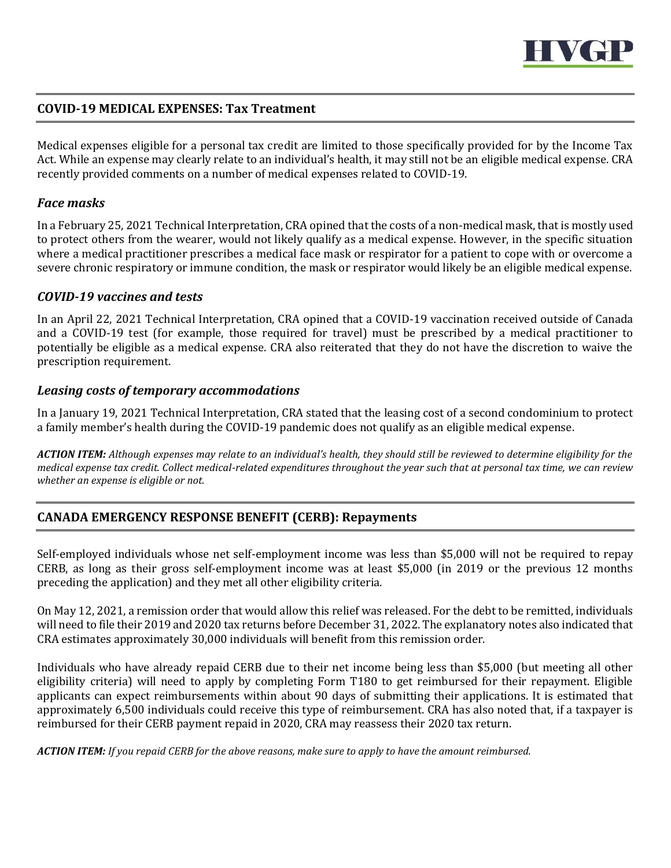

### **COVID-19 MEDICAL EXPENSES: Tax Treatment**

Medical expenses eligible for a personal tax credit are limited to those specifically provided for by the Income Tax Act. While an expense may clearly relate to an individual's health, it may still not be an eligible medical expense. CRA recently provided comments on a number of medical expenses related to COVID-19.

#### *Face masks*

In a February 25, 2021 Technical Interpretation, CRA opined that the costs of a non-medical mask, that is mostly used to protect others from the wearer, would not likely qualify as a medical expense. However, in the specific situation where a medical practitioner prescribes a medical face mask or respirator for a patient to cope with or overcome a severe chronic respiratory or immune condition, the mask or respirator would likely be an eligible medical expense.

#### *COVID-19 vaccines and tests*

In an April 22, 2021 Technical Interpretation, CRA opined that a COVID-19 vaccination received outside of Canada and a COVID-19 test (for example, those required for travel) must be prescribed by a medical practitioner to potentially be eligible as a medical expense. CRA also reiterated that they do not have the discretion to waive the prescription requirement.

#### *Leasing costs of temporary accommodations*

In a January 19, 2021 Technical Interpretation, CRA stated that the leasing cost of a second condominium to protect a family member's health during the COVID-19 pandemic does not qualify as an eligible medical expense.

*ACTION ITEM: Although expenses may relate to an individual's health, they should still be reviewed to determine eligibility for the medical expense tax credit. Collect medical-related expenditures throughout the year such that at personal tax time, we can review whether an expense is eligible or not.* 

# **CANADA EMERGENCY RESPONSE BENEFIT (CERB): Repayments**

Self-employed individuals whose net self-employment income was less than \$5,000 will not be required to repay CERB, as long as their gross self-employment income was at least \$5,000 (in 2019 or the previous 12 months preceding the application) and they met all other eligibility criteria.

On May 12, 2021, a remission order that would allow this relief was released. For the debt to be remitted, individuals will need to file their 2019 and 2020 tax returns before December 31, 2022. The explanatory notes also indicated that CRA estimates approximately 30,000 individuals will benefit from this remission order.

Individuals who have already repaid CERB due to their net income being less than \$5,000 (but meeting all other eligibility criteria) will need to apply by completing Form T180 to get reimbursed for their repayment. Eligible applicants can expect reimbursements within about 90 days of submitting their applications. It is estimated that approximately 6,500 individuals could receive this type of reimbursement. CRA has also noted that, if a taxpayer is reimbursed for their CERB payment repaid in 2020, CRA may reassess their 2020 tax return.

*ACTION ITEM: If you repaid CERB for the above reasons, make sure to apply to have the amount reimbursed.*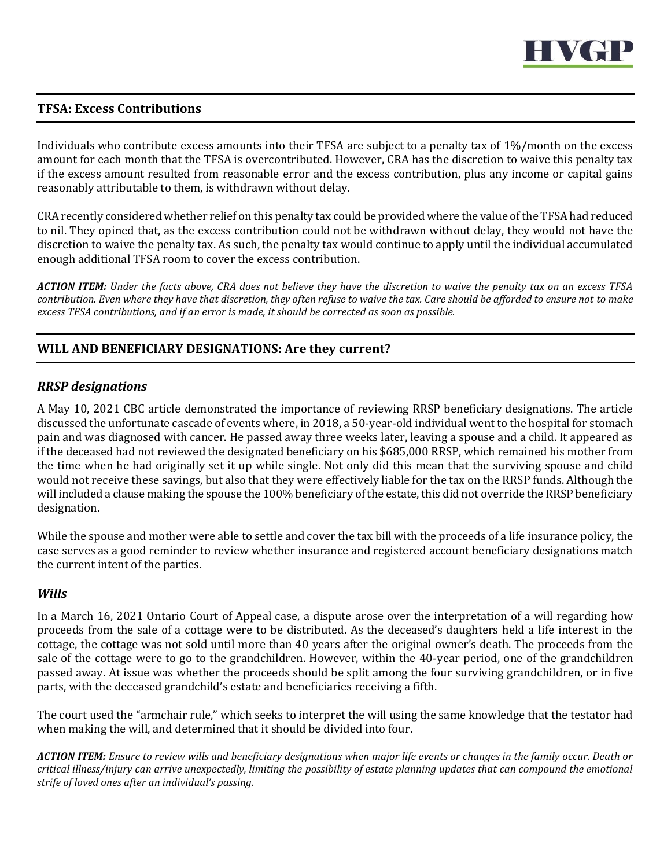

# **TFSA: Excess Contributions**

Individuals who contribute excess amounts into their TFSA are subject to a penalty tax of 1%/month on the excess amount for each month that the TFSA is overcontributed. However, CRA has the discretion to waive this penalty tax if the excess amount resulted from reasonable error and the excess contribution, plus any income or capital gains reasonably attributable to them, is withdrawn without delay.

CRA recently considered whether relief on this penalty tax could be provided where the value of the TFSA had reduced to nil. They opined that, as the excess contribution could not be withdrawn without delay, they would not have the discretion to waive the penalty tax. As such, the penalty tax would continue to apply until the individual accumulated enough additional TFSA room to cover the excess contribution.

*ACTION ITEM: Under the facts above, CRA does not believe they have the discretion to waive the penalty tax on an excess TFSA contribution. Even where they have that discretion, they often refuse to waive the tax. Care should be afforded to ensure not to make excess TFSA contributions, and if an error is made, it should be corrected as soon as possible.* 

# **WILL AND BENEFICIARY DESIGNATIONS: Are they current?**

#### *RRSP designations*

A May 10, 2021 CBC article demonstrated the importance of reviewing RRSP beneficiary designations. The article discussed the unfortunate cascade of events where, in 2018, a 50-year-old individual went to the hospital for stomach pain and was diagnosed with cancer. He passed away three weeks later, leaving a spouse and a child. It appeared as if the deceased had not reviewed the designated beneficiary on his \$685,000 RRSP, which remained his mother from the time when he had originally set it up while single. Not only did this mean that the surviving spouse and child would not receive these savings, but also that they were effectively liable for the tax on the RRSP funds. Although the will included a clause making the spouse the 100% beneficiary of the estate, this did not override the RRSP beneficiary designation.

While the spouse and mother were able to settle and cover the tax bill with the proceeds of a life insurance policy, the case serves as a good reminder to review whether insurance and registered account beneficiary designations match the current intent of the parties.

#### *Wills*

In a March 16, 2021 Ontario Court of Appeal case, a dispute arose over the interpretation of a will regarding how proceeds from the sale of a cottage were to be distributed. As the deceased's daughters held a life interest in the cottage, the cottage was not sold until more than 40 years after the original owner's death. The proceeds from the sale of the cottage were to go to the grandchildren. However, within the 40-year period, one of the grandchildren passed away. At issue was whether the proceeds should be split among the four surviving grandchildren, or in five parts, with the deceased grandchild's estate and beneficiaries receiving a fifth.

The court used the "armchair rule," which seeks to interpret the will using the same knowledge that the testator had when making the will, and determined that it should be divided into four.

*ACTION ITEM: Ensure to review wills and beneficiary designations when major life events or changes in the family occur. Death or critical illness/injury can arrive unexpectedly, limiting the possibility of estate planning updates that can compound the emotional strife of loved ones after an individual's passing.*